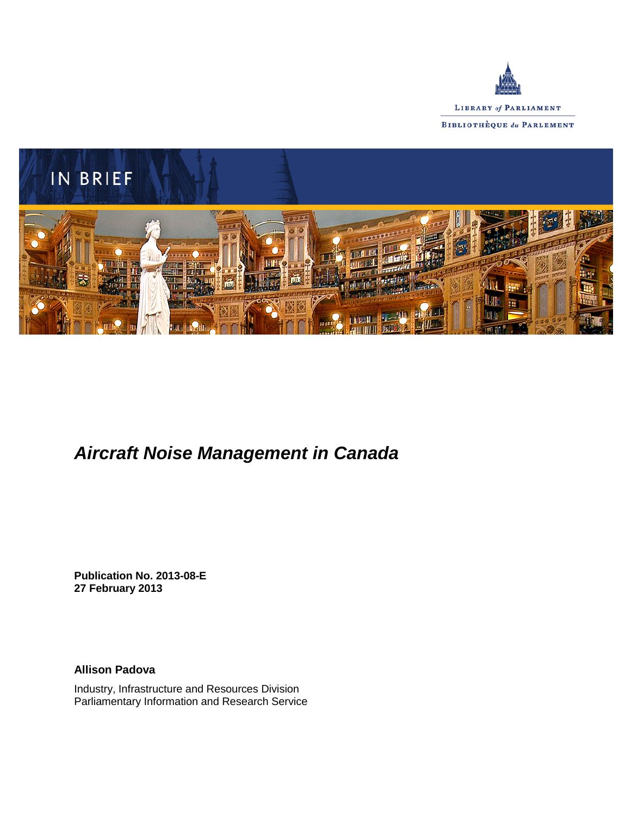



# *Aircraft Noise Management in Canada*

**Publication No. 2013-08-E 27 February 2013**

**Allison Padova**

Industry, Infrastructure and Resources Division Parliamentary Information and Research Service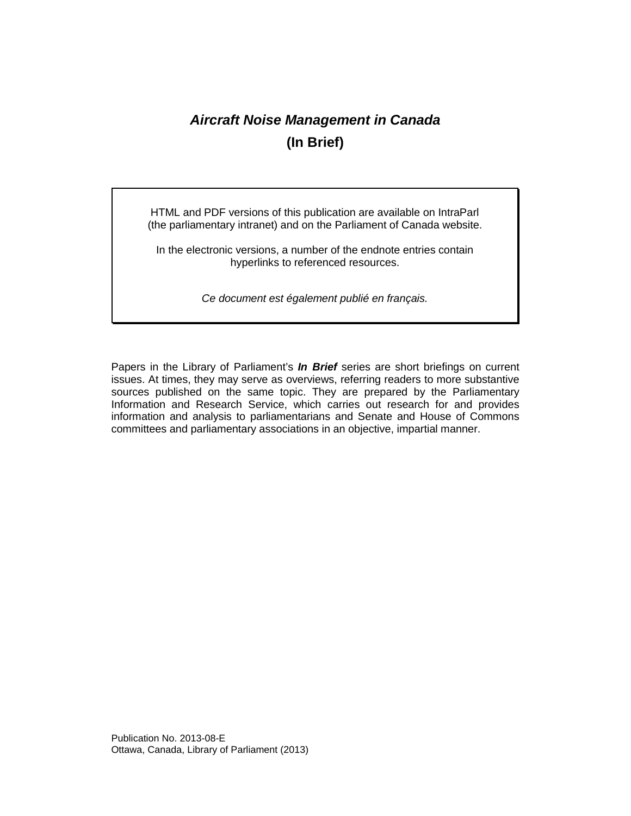# *Aircraft Noise Management in Canada* **(In Brief)**

HTML and PDF versions of this publication are available on IntraParl (the parliamentary intranet) and on the Parliament of Canada website.

In the electronic versions, a number of the endnote entries contain hyperlinks to referenced resources.

*Ce document est également publié en français.*

Papers in the Library of Parliament's *In Brief* series are short briefings on current issues. At times, they may serve as overviews, referring readers to more substantive sources published on the same topic. They are prepared by the Parliamentary Information and Research Service, which carries out research for and provides information and analysis to parliamentarians and Senate and House of Commons committees and parliamentary associations in an objective, impartial manner.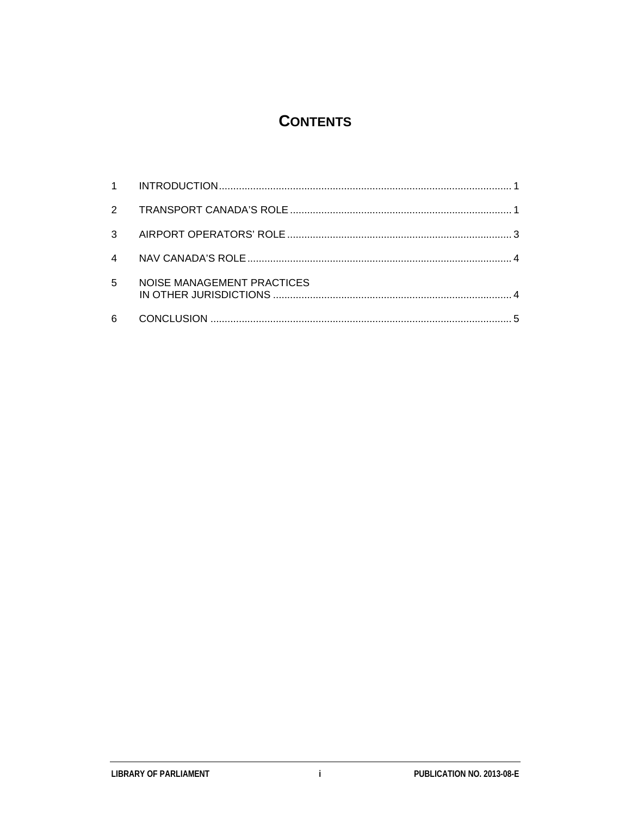## **CONTENTS**

| $\mathbf{3}$ |                            |  |
|--------------|----------------------------|--|
| 4            |                            |  |
| 5            | NOISE MANAGEMENT PRACTICES |  |
| 6            |                            |  |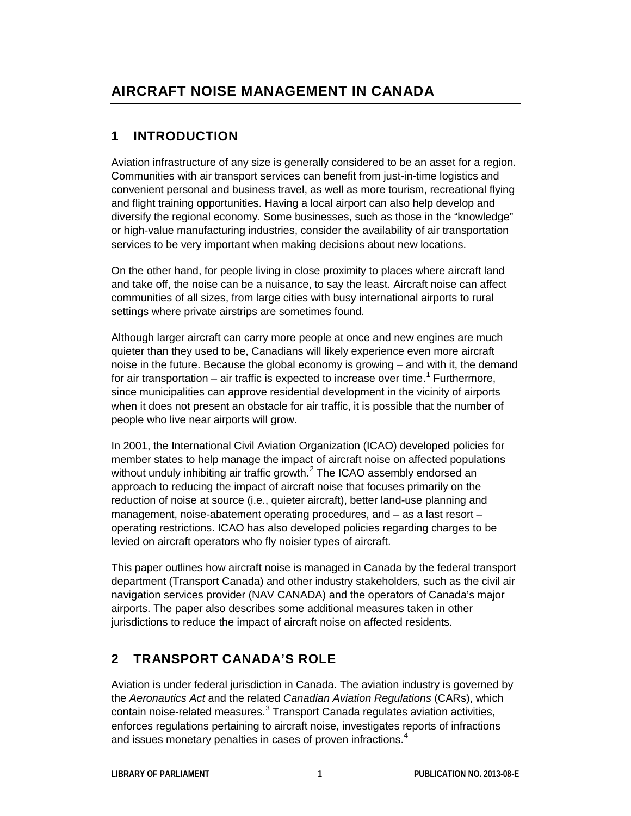## **1 INTRODUCTION**

Aviation infrastructure of any size is generally considered to be an asset for a region. Communities with air transport services can benefit from just-in-time logistics and convenient personal and business travel, as well as more tourism, recreational flying and flight training opportunities. Having a local airport can also help develop and diversify the regional economy. Some businesses, such as those in the "knowledge" or high-value manufacturing industries, consider the availability of air transportation services to be very important when making decisions about new locations.

On the other hand, for people living in close proximity to places where aircraft land and take off, the noise can be a nuisance, to say the least. Aircraft noise can affect communities of all sizes, from large cities with busy international airports to rural settings where private airstrips are sometimes found.

Although larger aircraft can carry more people at once and new engines are much quieter than they used to be, Canadians will likely experience even more aircraft noise in the future. Because the global economy is growing – and with it, the demand for air transportation – air traffic is expected to increase over time.<sup>[1](#page-8-0)</sup> Furthermore, since municipalities can approve residential development in the vicinity of airports when it does not present an obstacle for air traffic, it is possible that the number of people who live near airports will grow.

In 2001, the International Civil Aviation Organization (ICAO) developed [policies](http://www.icao.int/icao/en/env/noise.htm) for member states to help manage the impact of aircraft noise on affected populations without unduly inhibiting air traffic growth. $<sup>2</sup>$  $<sup>2</sup>$  $<sup>2</sup>$  The ICAO assembly endorsed an</sup> approach to reducing the impact of aircraft noise that focuses primarily on the reduction of noise at source (i.e., quieter aircraft), better land-use planning and management, noise-abatement operating procedures, and – as a last resort – operating restrictions. ICAO has also developed policies regarding charges to be levied on aircraft operators who fly noisier types of aircraft.

This paper outlines how aircraft noise is managed in Canada by the federal transport department (Transport Canada) and other industry stakeholders, such as the civil air navigation services provider (NAV CANADA) and the operators of Canada's major airports. The paper also describes some additional measures taken in other jurisdictions to reduce the impact of aircraft noise on affected residents.

# **2 TRANSPORT CANADA'S ROLE**

Aviation is under federal jurisdiction in Canada. The aviation industry is governed by the *Aeronautics Act* and the related *Canadian Aviation Regulations* (CARs), which contain noise-related measures. $3$  Transport Canada regulates aviation activities, enforces regulations pertaining to aircraft noise, investigates reports of infractions and issues monetary penalties in cases of proven infractions.<sup>[4](#page-8-3)</sup>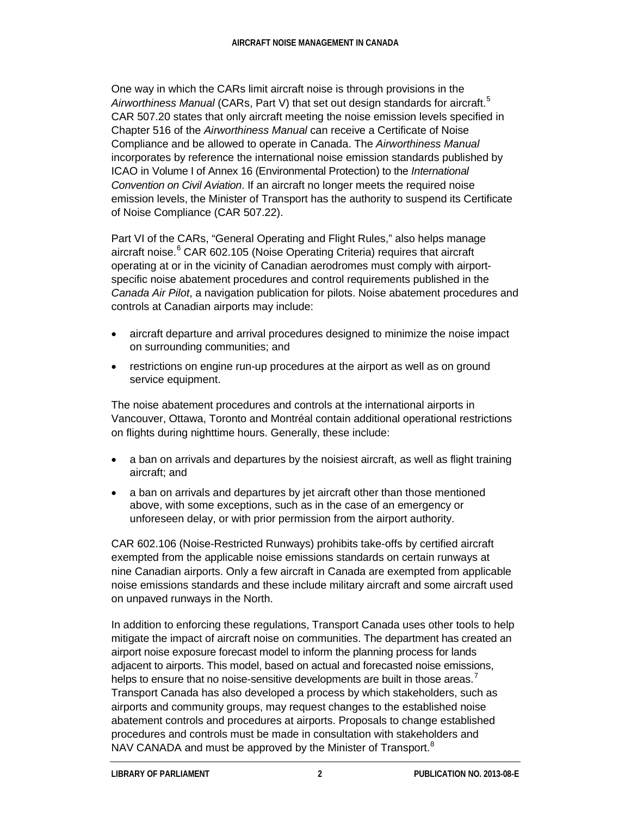One way in which the CARs limit aircraft noise is through provisions in the *Airworthiness Manual* (CARs, Part V) that set out design standards for aircraft.[5](#page-8-4) CAR 507.20 states that only aircraft meeting the noise emission levels specified in Chapter 516 of the *Airworthiness Manual* can receive a Certificate of Noise Compliance and be allowed to operate in Canada. The *Airworthiness Manual* incorporates by reference the international noise emission standards published by ICAO in Volume I of Annex 16 (Environmental Protection) to the *International Convention on Civil Aviation*. If an aircraft no longer meets the required noise emission levels, the Minister of Transport has the authority to suspend its Certificate of Noise Compliance (CAR 507.22).

Part VI of the CARs, "General Operating and Flight Rules," also helps manage aircraft noise. $6$  CAR 602.105 (Noise Operating Criteria) requires that aircraft operating at or in the vicinity of Canadian aerodromes must comply with airportspecific noise abatement procedures and control requirements published in the *Canada Air Pilot*, a navigation publication for pilots. Noise abatement procedures and controls at Canadian airports may include:

- aircraft departure and arrival procedures designed to minimize the noise impact on surrounding communities; and
- restrictions on engine run-up procedures at the airport as well as on ground service equipment.

The noise abatement procedures and controls at the international airports in Vancouver, Ottawa, Toronto and Montréal contain additional operational restrictions on flights during nighttime hours. Generally, these include:

- a ban on arrivals and departures by the noisiest aircraft, as well as flight training aircraft; and
- a ban on arrivals and departures by jet aircraft other than those mentioned above, with some exceptions, such as in the case of an emergency or unforeseen delay, or with prior permission from the airport authority.

CAR 602.106 (Noise-Restricted Runways) prohibits take-offs by certified aircraft exempted from the applicable noise emissions standards on certain runways at nine Canadian airports. Only a few aircraft in Canada are exempted from applicable noise emissions standards and these include military aircraft and some aircraft used on unpaved runways in the North.

In addition to enforcing these regulations, Transport Canada uses other tools to help mitigate the impact of aircraft noise on communities. The department has created an airport noise exposure forecast model to inform the planning process for lands adjacent to airports. This model, based on actual and forecasted noise emissions, helps to ensure that no noise-sensitive developments are built in those areas.<sup>[7](#page-9-1)</sup> Transport Canada has also developed a process by which stakeholders, such as airports and community groups, may request changes to the established noise abatement controls and procedures at airports. Proposals to change established procedures and controls must be made in consultation with stakeholders and NAV CANADA and must be approved by the Minister of Transport.<sup>[8](#page-9-2)</sup>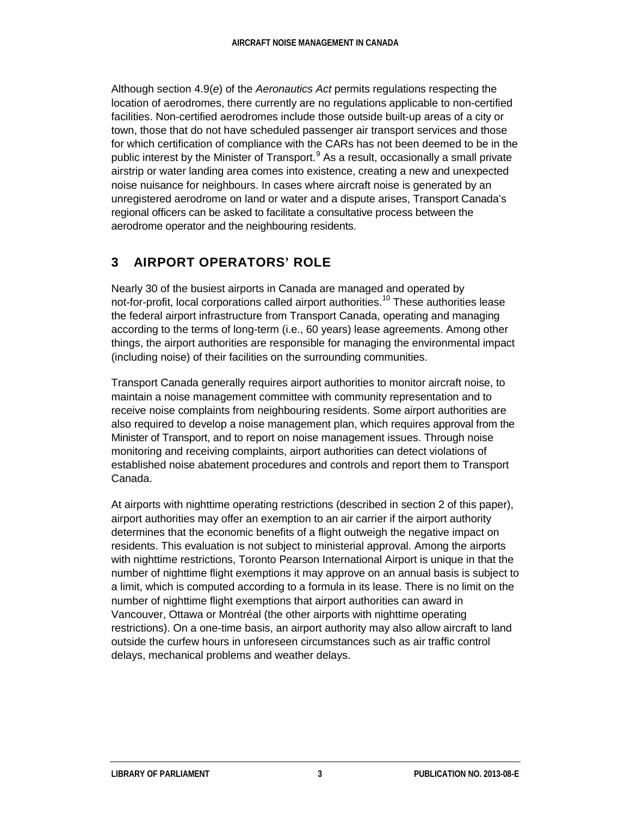Although section 4.9(*e*) of the *Aeronautics Act* permits regulations respecting the location of aerodromes, there currently are no regulations applicable to non-certified facilities. Non-certified aerodromes include those outside built-up areas of a city or town, those that do not have scheduled passenger air transport services and those for which certification of compliance with the CARs has not been deemed to be in the public interest by the Minister of Transport. $<sup>9</sup>$  $<sup>9</sup>$  $<sup>9</sup>$  As a result, occasionally a small private</sup> airstrip or water landing area comes into existence, creating a new and unexpected noise nuisance for neighbours. In cases where aircraft noise is generated by an unregistered aerodrome on land or water and a dispute arises, Transport Canada's regional officers can be asked to facilitate a consultative process between the aerodrome operator and the neighbouring residents.

## **3 AIRPORT OPERATORS' ROLE**

Nearly 30 of the busiest airports in Canada are managed and operated by not-for-profit, local corporations called airport authorities.<sup>[10](#page-9-4)</sup> These authorities lease the federal airport infrastructure from Transport Canada, operating and managing according to the terms of long-term (i.e., 60 years) lease agreements. Among other things, the airport authorities are responsible for managing the environmental impact (including noise) of their facilities on the surrounding communities.

Transport Canada generally requires airport authorities to monitor aircraft noise, to maintain a noise management committee with community representation and to receive noise complaints from neighbouring residents. Some airport authorities are also required to develop a noise management plan, which requires approval from the Minister of Transport, and to report on noise management issues. Through noise monitoring and receiving complaints, airport authorities can detect violations of established noise abatement procedures and controls and report them to Transport Canada.

At airports with nighttime operating restrictions (described in section 2 of this paper), airport authorities may offer an exemption to an air carrier if the airport authority determines that the economic benefits of a flight outweigh the negative impact on residents. This evaluation is not subject to ministerial approval. Among the airports with nighttime restrictions, Toronto Pearson International Airport is unique in that the number of nighttime flight exemptions it may approve on an annual basis is subject to a limit, which is computed according to a formula in its lease. There is no limit on the number of nighttime flight exemptions that airport authorities can award in Vancouver, Ottawa or Montréal (the other airports with nighttime operating restrictions). On a one-time basis, an airport authority may also allow aircraft to land outside the curfew hours in unforeseen circumstances such as air traffic control delays, mechanical problems and weather delays.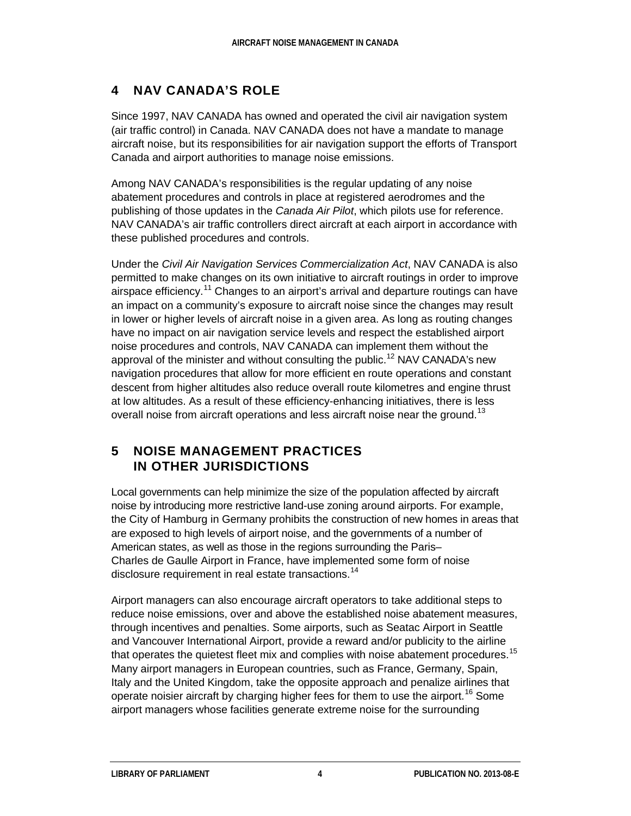## **4 NAV CANADA'S ROLE**

Since 1997, NAV CANADA has owned and operated the civil air navigation system (air traffic control) in Canada. NAV CANADA does not have a mandate to manage aircraft noise, but its responsibilities for air navigation support the efforts of Transport Canada and airport authorities to manage noise emissions.

Among NAV CANADA's responsibilities is the regular updating of any noise abatement procedures and controls in place at registered aerodromes and the publishing of those updates in the *Canada Air Pilot*, which pilots use for reference. NAV CANADA's air traffic controllers direct aircraft at each airport in accordance with these published procedures and controls.

Under the *Civil Air Navigation Services Commercialization Act*, NAV CANADA is also permitted to make changes on its own initiative to aircraft routings in order to improve airspace efficiency.<sup>[11](#page-9-5)</sup> Changes to an airport's arrival and departure routings can have an impact on a community's exposure to aircraft noise since the changes may result in lower or higher levels of aircraft noise in a given area. As long as routing changes have no impact on air navigation service levels and respect the established airport noise procedures and controls, NAV CANADA can implement them without the approval of the minister and without consulting the public.<sup>[12](#page-9-6)</sup> NAV CANADA's new navigation procedures that allow for more efficient en route operations and constant descent from higher altitudes also reduce overall route kilometres and engine thrust at low altitudes. As a result of these efficiency-enhancing initiatives, there is less overall noise from aircraft operations and less aircraft noise near the ground.<sup>[13](#page-9-7)</sup>

#### **5 NOISE MANAGEMENT PRACTICES IN OTHER JURISDICTIONS**

Local governments can help minimize the size of the population affected by aircraft noise by introducing more restrictive land-use zoning around airports. For example, the City of Hamburg in Germany prohibits the construction of new homes in areas that are exposed to high levels of airport noise, and the governments of a number of American states, as well as those in the regions surrounding the Paris– Charles de Gaulle Airport in France, have implemented some form of noise disclosure requirement in real estate transactions.<sup>[14](#page-9-8)</sup>

Airport managers can also encourage aircraft operators to take additional steps to reduce noise emissions, over and above the established noise abatement measures, through incentives and penalties. Some airports, such as Seatac Airport in Seattle and Vancouver International Airport, provide a reward and/or publicity to the airline that operates the quietest fleet mix and complies with noise abatement procedures.<sup>[15](#page-9-9)</sup> Many airport managers in European countries, such as France, Germany, Spain, Italy and the United Kingdom, take the opposite approach and penalize airlines that operate noisier aircraft by charging higher fees for them to use the airport.<sup>[16](#page-9-10)</sup> Some airport managers whose facilities generate extreme noise for the surrounding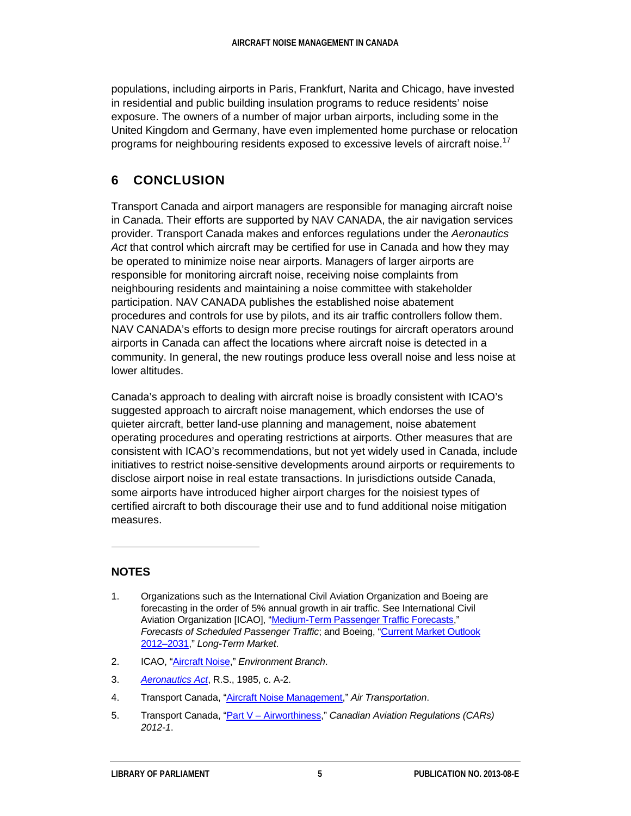populations, including airports in Paris, Frankfurt, Narita and Chicago, have invested in residential and public building insulation programs to reduce residents' noise exposure. The owners of a number of major urban airports, including some in the United Kingdom and Germany, have even implemented home purchase or relocation programs for neighbouring residents exposed to excessive levels of aircraft noise.<sup>[17](#page-9-11)</sup>

### **6 CONCLUSION**

Transport Canada and airport managers are responsible for managing aircraft noise in Canada. Their efforts are supported by NAV CANADA, the air navigation services provider. Transport Canada makes and enforces regulations under the *Aeronautics Act* that control which aircraft may be certified for use in Canada and how they may be operated to minimize noise near airports. Managers of larger airports are responsible for monitoring aircraft noise, receiving noise complaints from neighbouring residents and maintaining a noise committee with stakeholder participation. NAV CANADA publishes the established noise abatement procedures and controls for use by pilots, and its air traffic controllers follow them. NAV CANADA's efforts to design more precise routings for aircraft operators around airports in Canada can affect the locations where aircraft noise is detected in a community. In general, the new routings produce less overall noise and less noise at lower altitudes.

Canada's approach to dealing with aircraft noise is broadly consistent with ICAO's suggested approach to aircraft noise management, which endorses the use of quieter aircraft, better land-use planning and management, noise abatement operating procedures and operating restrictions at airports. Other measures that are consistent with ICAO's recommendations, but not yet widely used in Canada, include initiatives to restrict noise-sensitive developments around airports or requirements to disclose airport noise in real estate transactions. In jurisdictions outside Canada, some airports have introduced higher airport charges for the noisiest types of certified aircraft to both discourage their use and to fund additional noise mitigation measures.

#### **NOTES**

 $\ddot{ }$ 

- <span id="page-8-1"></span>2. ICAO, ["Aircraft Noise,"](http://legacy.icao.int/env/noise.htm) *Environment Branch*.
- <span id="page-8-2"></span>3. *[Aeronautics Act](http://lois.justice.gc.ca/eng/acts/A-2/index.html)*, R.S., 1985, c. A-2.
- <span id="page-8-3"></span>4. Transport Canada, ["Aircraft Noise Management,](http://www.tc.gc.ca/eng/civilaviation/standards/aerodromeairnav-standards-noise-menu-923.htm)" *Air Transportation*.
- <span id="page-8-4"></span>5. Transport Canada, "Part V – [Airworthiness,](http://www.tc.gc.ca/eng/civilaviation/regserv/cars/part5-menu-1770.htm)" *Canadian Aviation Regulations (CARs) 2012-1*.

<span id="page-8-0"></span><sup>1.</sup> Organizations such as the International Civil Aviation Organization and Boeing are forecasting in the order of 5% annual growth in air traffic. See International Civil Aviation Organization [ICAO], ["Medium-Term Passenger Traffic Forecasts,](http://www.icao.int/sustainability/pages/eap_fp_forecastmed.aspx)" *Forecasts of Scheduled Passenger Traffic*; and Boeing, ["Current Market Outlook](http://www.boeing.com/commercial/cmo/index.html)  [2012–2031,"](http://www.boeing.com/commercial/cmo/index.html) *Long-Term Market*.